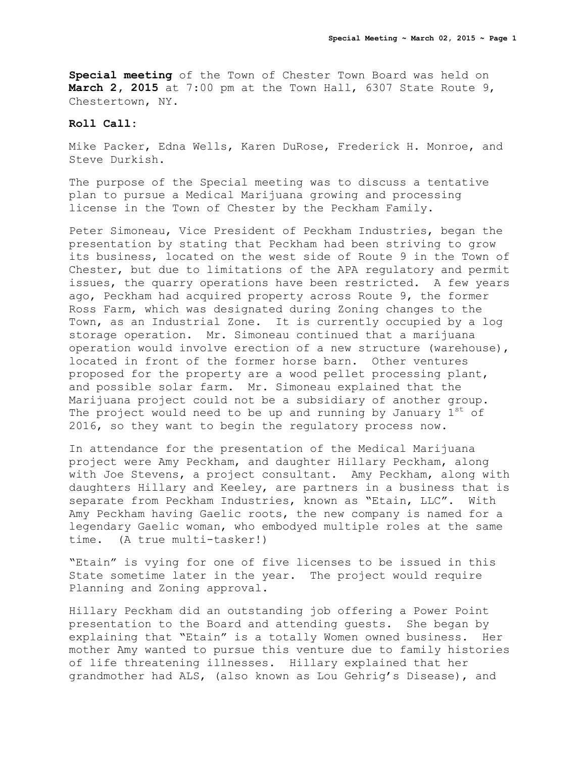**Special meeting** of the Town of Chester Town Board was held on **March 2, 2015** at 7:00 pm at the Town Hall, 6307 State Route 9, Chestertown, NY.

## **Roll Call:**

Mike Packer, Edna Wells, Karen DuRose, Frederick H. Monroe, and Steve Durkish.

The purpose of the Special meeting was to discuss a tentative plan to pursue a Medical Marijuana growing and processing license in the Town of Chester by the Peckham Family.

Peter Simoneau, Vice President of Peckham Industries, began the presentation by stating that Peckham had been striving to grow its business, located on the west side of Route 9 in the Town of Chester, but due to limitations of the APA regulatory and permit issues, the quarry operations have been restricted. A few years ago, Peckham had acquired property across Route 9, the former Ross Farm, which was designated during Zoning changes to the Town, as an Industrial Zone. It is currently occupied by a log storage operation. Mr. Simoneau continued that a marijuana operation would involve erection of a new structure (warehouse), located in front of the former horse barn. Other ventures proposed for the property are a wood pellet processing plant, and possible solar farm. Mr. Simoneau explained that the Marijuana project could not be a subsidiary of another group. The project would need to be up and running by January  $1^{st}$  of 2016, so they want to begin the regulatory process now.

In attendance for the presentation of the Medical Marijuana project were Amy Peckham, and daughter Hillary Peckham, along with Joe Stevens, a project consultant. Amy Peckham, along with daughters Hillary and Keeley, are partners in a business that is separate from Peckham Industries, known as "Etain, LLC". With Amy Peckham having Gaelic roots, the new company is named for a legendary Gaelic woman, who embodyed multiple roles at the same time. (A true multi-tasker!)

"Etain" is vying for one of five licenses to be issued in this State sometime later in the year. The project would require Planning and Zoning approval.

Hillary Peckham did an outstanding job offering a Power Point presentation to the Board and attending guests. She began by explaining that "Etain" is a totally Women owned business. Her mother Amy wanted to pursue this venture due to family histories of life threatening illnesses. Hillary explained that her grandmother had ALS, (also known as Lou Gehrig's Disease), and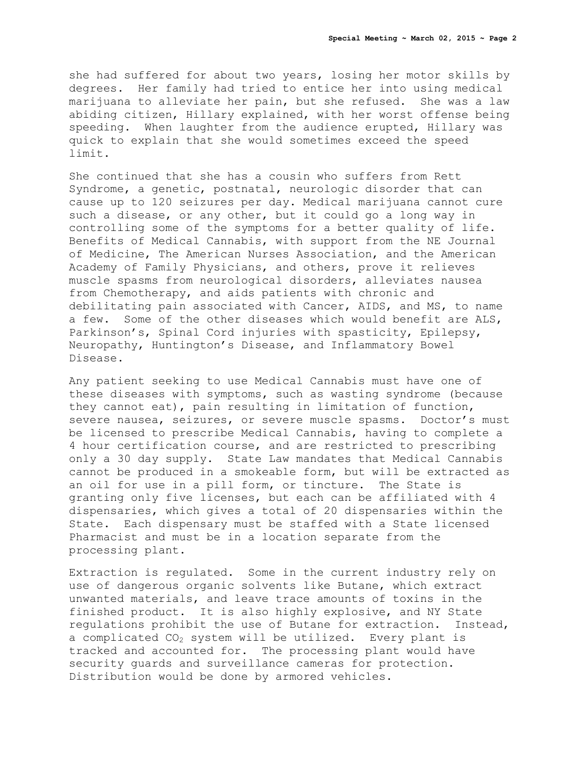she had suffered for about two years, losing her motor skills by degrees. Her family had tried to entice her into using medical marijuana to alleviate her pain, but she refused. She was a law abiding citizen, Hillary explained, with her worst offense being speeding. When laughter from the audience erupted, Hillary was quick to explain that she would sometimes exceed the speed limit.

She continued that she has a cousin who suffers from Rett Syndrome, a genetic, postnatal, neurologic disorder that can cause up to 120 seizures per day. Medical marijuana cannot cure such a disease, or any other, but it could go a long way in controlling some of the symptoms for a better quality of life. Benefits of Medical Cannabis, with support from the NE Journal of Medicine, The American Nurses Association, and the American Academy of Family Physicians, and others, prove it relieves muscle spasms from neurological disorders, alleviates nausea from Chemotherapy, and aids patients with chronic and debilitating pain associated with Cancer, AIDS, and MS, to name a few. Some of the other diseases which would benefit are ALS, Parkinson's, Spinal Cord injuries with spasticity, Epilepsy, Neuropathy, Huntington's Disease, and Inflammatory Bowel Disease.

Any patient seeking to use Medical Cannabis must have one of these diseases with symptoms, such as wasting syndrome (because they cannot eat), pain resulting in limitation of function, severe nausea, seizures, or severe muscle spasms. Doctor's must be licensed to prescribe Medical Cannabis, having to complete a 4 hour certification course, and are restricted to prescribing only a 30 day supply. State Law mandates that Medical Cannabis cannot be produced in a smokeable form, but will be extracted as an oil for use in a pill form, or tincture. The State is granting only five licenses, but each can be affiliated with 4 dispensaries, which gives a total of 20 dispensaries within the State. Each dispensary must be staffed with a State licensed Pharmacist and must be in a location separate from the processing plant.

Extraction is regulated. Some in the current industry rely on use of dangerous organic solvents like Butane, which extract unwanted materials, and leave trace amounts of toxins in the finished product. It is also highly explosive, and NY State regulations prohibit the use of Butane for extraction. Instead, a complicated  $CO<sub>2</sub>$  system will be utilized. Every plant is tracked and accounted for. The processing plant would have security guards and surveillance cameras for protection. Distribution would be done by armored vehicles.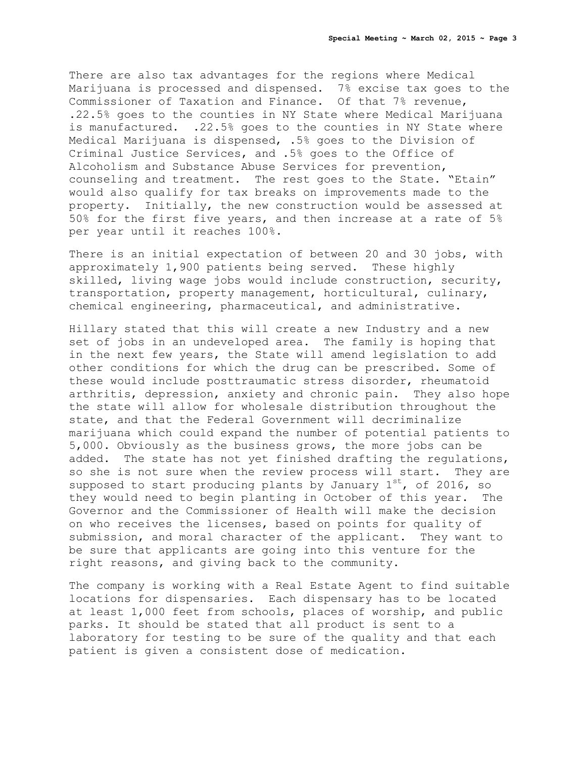There are also tax advantages for the regions where Medical Marijuana is processed and dispensed. 7% excise tax goes to the Commissioner of Taxation and Finance. Of that 7% revenue, .22.5% goes to the counties in NY State where Medical Marijuana is manufactured. .22.5% goes to the counties in NY State where Medical Marijuana is dispensed, .5% goes to the Division of Criminal Justice Services, and .5% goes to the Office of Alcoholism and Substance Abuse Services for prevention, counseling and treatment. The rest goes to the State. "Etain" would also qualify for tax breaks on improvements made to the property. Initially, the new construction would be assessed at 50% for the first five years, and then increase at a rate of 5% per year until it reaches 100%.

There is an initial expectation of between 20 and 30 jobs, with approximately 1,900 patients being served. These highly skilled, living wage jobs would include construction, security, transportation, property management, horticultural, culinary, chemical engineering, pharmaceutical, and administrative.

Hillary stated that this will create a new Industry and a new set of jobs in an undeveloped area. The family is hoping that in the next few years, the State will amend legislation to add other conditions for which the drug can be prescribed. Some of these would include posttraumatic stress disorder, rheumatoid arthritis, depression, anxiety and chronic pain. They also hope the state will allow for wholesale distribution throughout the state, and that the Federal Government will decriminalize marijuana which could expand the number of potential patients to 5,000. Obviously as the business grows, the more jobs can be added. The state has not yet finished drafting the regulations, so she is not sure when the review process will start. They are supposed to start producing plants by January  $1^{st}$ , of 2016, so they would need to begin planting in October of this year. The Governor and the Commissioner of Health will make the decision on who receives the licenses, based on points for quality of submission, and moral character of the applicant. They want to be sure that applicants are going into this venture for the right reasons, and giving back to the community.

The company is working with a Real Estate Agent to find suitable locations for dispensaries. Each dispensary has to be located at least 1,000 feet from schools, places of worship, and public parks. It should be stated that all product is sent to a laboratory for testing to be sure of the quality and that each patient is given a consistent dose of medication.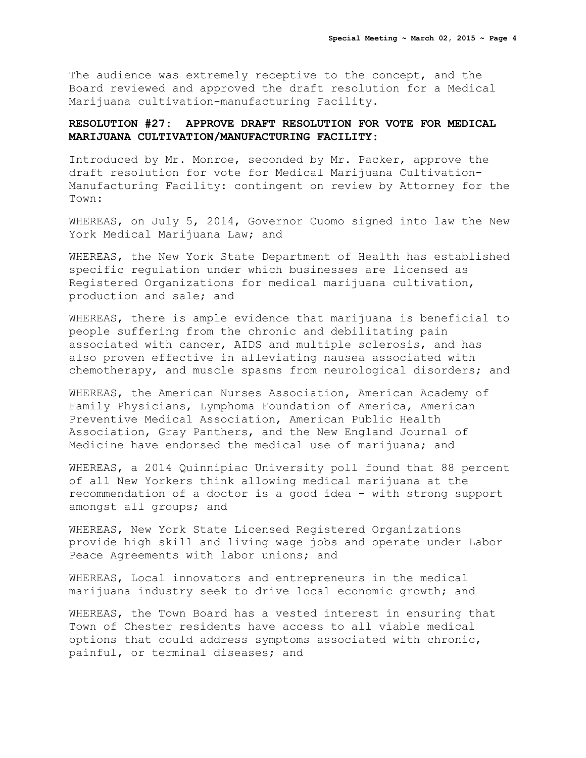The audience was extremely receptive to the concept, and the Board reviewed and approved the draft resolution for a Medical Marijuana cultivation-manufacturing Facility.

## **RESOLUTION #27: APPROVE DRAFT RESOLUTION FOR VOTE FOR MEDICAL MARIJUANA CULTIVATION/MANUFACTURING FACILITY:**

Introduced by Mr. Monroe, seconded by Mr. Packer, approve the draft resolution for vote for Medical Marijuana Cultivation-Manufacturing Facility: contingent on review by Attorney for the Town:

WHEREAS, on July 5, 2014, Governor Cuomo signed into law the New York Medical Marijuana Law; and

WHEREAS, the New York State Department of Health has established specific regulation under which businesses are licensed as Registered Organizations for medical marijuana cultivation, production and sale; and

WHEREAS, there is ample evidence that marijuana is beneficial to people suffering from the chronic and debilitating pain associated with cancer, AIDS and multiple sclerosis, and has also proven effective in alleviating nausea associated with chemotherapy, and muscle spasms from neurological disorders; and

WHEREAS, the American Nurses Association, American Academy of Family Physicians, Lymphoma Foundation of America, American Preventive Medical Association, American Public Health Association, Gray Panthers, and the New England Journal of Medicine have endorsed the medical use of marijuana; and

WHEREAS, a 2014 Quinnipiac University poll found that 88 percent of all New Yorkers think allowing medical marijuana at the recommendation of a doctor is a good idea – with strong support amongst all groups; and

WHEREAS, New York State Licensed Registered Organizations provide high skill and living wage jobs and operate under Labor Peace Agreements with labor unions; and

WHEREAS, Local innovators and entrepreneurs in the medical marijuana industry seek to drive local economic growth; and

WHEREAS, the Town Board has a vested interest in ensuring that Town of Chester residents have access to all viable medical options that could address symptoms associated with chronic, painful, or terminal diseases; and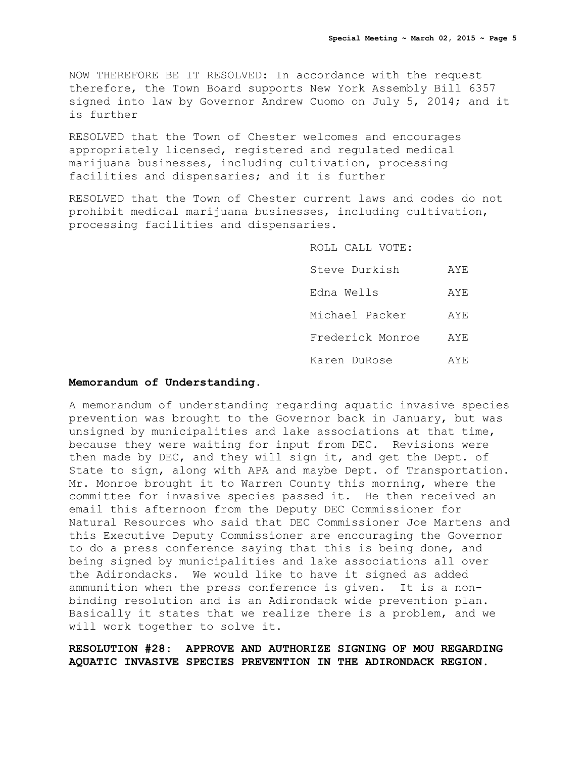NOW THEREFORE BE IT RESOLVED: In accordance with the request therefore, the Town Board supports New York Assembly Bill 6357 signed into law by Governor Andrew Cuomo on July 5, 2014; and it is further

RESOLVED that the Town of Chester welcomes and encourages appropriately licensed, registered and regulated medical marijuana businesses, including cultivation, processing facilities and dispensaries; and it is further

RESOLVED that the Town of Chester current laws and codes do not prohibit medical marijuana businesses, including cultivation, processing facilities and dispensaries.

> ROLL CALL VOTE: Steve Durkish AYE Edna Wells AYE Michael Packer AYE Frederick Monroe AYE Karen DuRose AYE

## **Memorandum of Understanding.**

A memorandum of understanding regarding aquatic invasive species prevention was brought to the Governor back in January, but was unsigned by municipalities and lake associations at that time, because they were waiting for input from DEC. Revisions were then made by DEC, and they will sign it, and get the Dept. of State to sign, along with APA and maybe Dept. of Transportation. Mr. Monroe brought it to Warren County this morning, where the committee for invasive species passed it. He then received an email this afternoon from the Deputy DEC Commissioner for Natural Resources who said that DEC Commissioner Joe Martens and this Executive Deputy Commissioner are encouraging the Governor to do a press conference saying that this is being done, and being signed by municipalities and lake associations all over the Adirondacks. We would like to have it signed as added ammunition when the press conference is given. It is a nonbinding resolution and is an Adirondack wide prevention plan. Basically it states that we realize there is a problem, and we will work together to solve it.

**RESOLUTION #28: APPROVE AND AUTHORIZE SIGNING OF MOU REGARDING AQUATIC INVASIVE SPECIES PREVENTION IN THE ADIRONDACK REGION.**